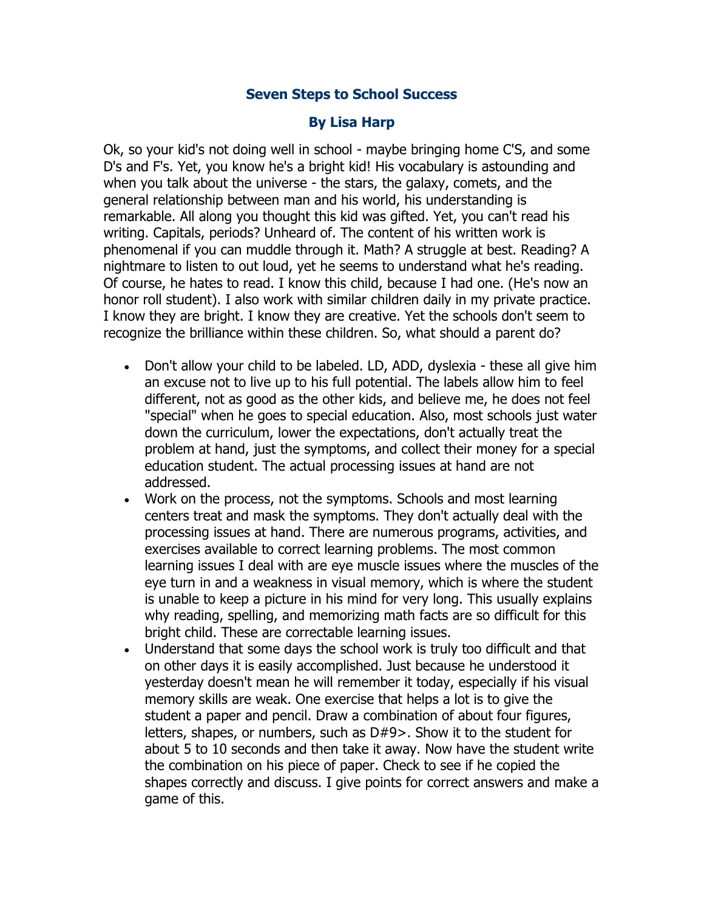## **Seven Steps to School Success**

## **By Lisa Harp**

Ok, so your kid's not doing well in school - maybe bringing home C'S, and some D's and F's. Yet, you know he's a bright kid! His vocabulary is astounding and when you talk about the universe - the stars, the galaxy, comets, and the general relationship between man and his world, his understanding is remarkable. All along you thought this kid was gifted. Yet, you can't read his writing. Capitals, periods? Unheard of. The content of his written work is phenomenal if you can muddle through it. Math? A struggle at best. Reading? A nightmare to listen to out loud, yet he seems to understand what he's reading. Of course, he hates to read. I know this child, because I had one. (He's now an honor roll student). I also work with similar children daily in my private practice. I know they are bright. I know they are creative. Yet the schools don't seem to recognize the brilliance within these children. So, what should a parent do?

- Don't allow your child to be labeled. LD, ADD, dyslexia these all give him an excuse not to live up to his full potential. The labels allow him to feel different, not as good as the other kids, and believe me, he does not feel "special" when he goes to special education. Also, most schools just water down the curriculum, lower the expectations, don't actually treat the problem at hand, just the symptoms, and collect their money for a special education student. The actual processing issues at hand are not addressed.
- Work on the process, not the symptoms. Schools and most learning centers treat and mask the symptoms. They don't actually deal with the processing issues at hand. There are numerous programs, activities, and exercises available to correct learning problems. The most common learning issues I deal with are eye muscle issues where the muscles of the eye turn in and a weakness in visual memory, which is where the student is unable to keep a picture in his mind for very long. This usually explains why reading, spelling, and memorizing math facts are so difficult for this bright child. These are correctable learning issues.
- Understand that some days the school work is truly too difficult and that on other days it is easily accomplished. Just because he understood it yesterday doesn't mean he will remember it today, especially if his visual memory skills are weak. One exercise that helps a lot is to give the student a paper and pencil. Draw a combination of about four figures, letters, shapes, or numbers, such as D#9>. Show it to the student for about 5 to 10 seconds and then take it away. Now have the student write the combination on his piece of paper. Check to see if he copied the shapes correctly and discuss. I give points for correct answers and make a game of this.